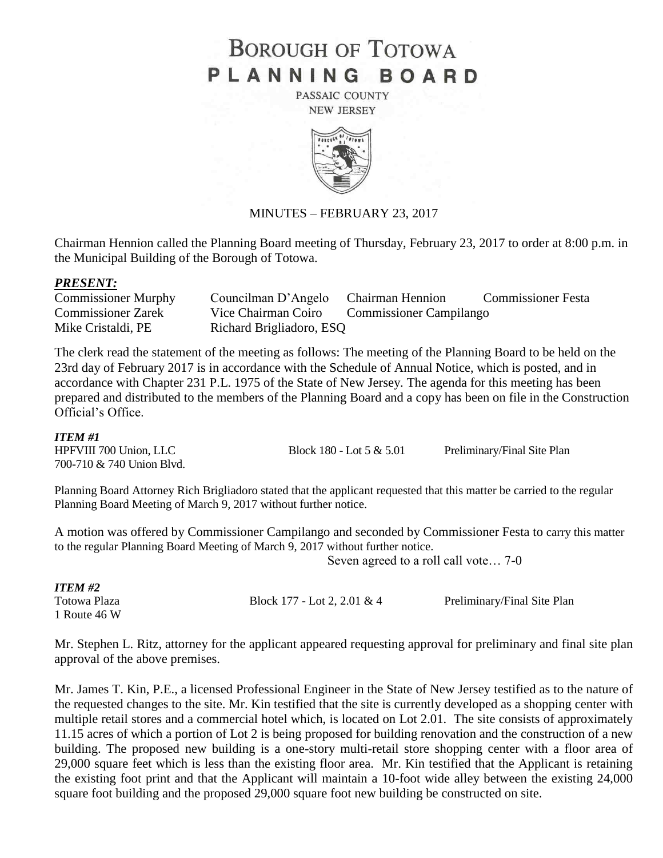# **BOROUGH OF TOTOWA** PLANNING BOARD

PASSAIC COUNTY **NEW JERSEY** 



# MINUTES – FEBRUARY 23, 2017

Chairman Hennion called the Planning Board meeting of Thursday, February 23, 2017 to order at 8:00 p.m. in the Municipal Building of the Borough of Totowa.

#### *PRESENT:*

| <b>Commissioner Murphy</b> | Councilman D'Angelo Chairman Hennion |                                | <b>Commissioner Festa</b> |
|----------------------------|--------------------------------------|--------------------------------|---------------------------|
| <b>Commissioner Zarek</b>  | Vice Chairman Coiro                  | <b>Commissioner Campilango</b> |                           |
| Mike Cristaldi, PE         | Richard Brigliadoro, ESQ             |                                |                           |

The clerk read the statement of the meeting as follows: The meeting of the Planning Board to be held on the 23rd day of February 2017 is in accordance with the Schedule of Annual Notice, which is posted, and in accordance with Chapter 231 P.L. 1975 of the State of New Jersey. The agenda for this meeting has been prepared and distributed to the members of the Planning Board and a copy has been on file in the Construction Official's Office.

#### *ITEM #1*

700-710 & 740 Union Blvd.

HPFVIII 700 Union, LLC Block 180 - Lot 5 & 5.01 Preliminary/Final Site Plan

Planning Board Attorney Rich Brigliadoro stated that the applicant requested that this matter be carried to the regular Planning Board Meeting of March 9, 2017 without further notice.

A motion was offered by Commissioner Campilango and seconded by Commissioner Festa to carry this matter to the regular Planning Board Meeting of March 9, 2017 without further notice.

Seven agreed to a roll call vote… 7-0

| 11 151VI #2  |  |  |  |  |
|--------------|--|--|--|--|
| Totowa Plaza |  |  |  |  |
| 1 Route 46 W |  |  |  |  |

*<i>ITEM #2* 

Block 177 - Lot 2, 2.01 & 4 Preliminary/Final Site Plan

Mr. Stephen L. Ritz, attorney for the applicant appeared requesting approval for preliminary and final site plan approval of the above premises.

Mr. James T. Kin, P.E., a licensed Professional Engineer in the State of New Jersey testified as to the nature of the requested changes to the site. Mr. Kin testified that the site is currently developed as a shopping center with multiple retail stores and a commercial hotel which, is located on Lot 2.01. The site consists of approximately 11.15 acres of which a portion of Lot 2 is being proposed for building renovation and the construction of a new building. The proposed new building is a one-story multi-retail store shopping center with a floor area of 29,000 square feet which is less than the existing floor area. Mr. Kin testified that the Applicant is retaining the existing foot print and that the Applicant will maintain a 10-foot wide alley between the existing 24,000 square foot building and the proposed 29,000 square foot new building be constructed on site.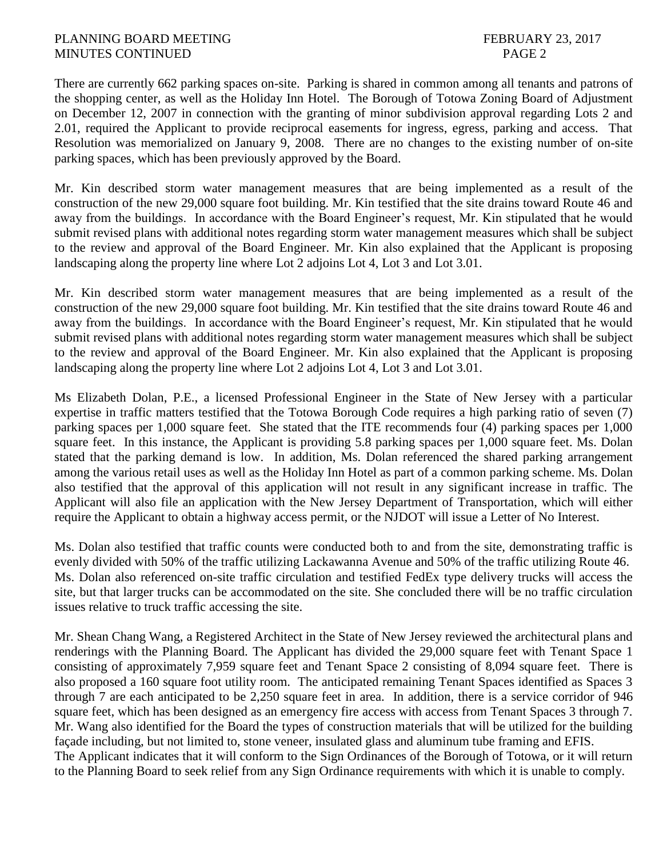There are currently 662 parking spaces on-site. Parking is shared in common among all tenants and patrons of the shopping center, as well as the Holiday Inn Hotel. The Borough of Totowa Zoning Board of Adjustment on December 12, 2007 in connection with the granting of minor subdivision approval regarding Lots 2 and 2.01, required the Applicant to provide reciprocal easements for ingress, egress, parking and access. That Resolution was memorialized on January 9, 2008. There are no changes to the existing number of on-site parking spaces, which has been previously approved by the Board.

Mr. Kin described storm water management measures that are being implemented as a result of the construction of the new 29,000 square foot building. Mr. Kin testified that the site drains toward Route 46 and away from the buildings. In accordance with the Board Engineer's request, Mr. Kin stipulated that he would submit revised plans with additional notes regarding storm water management measures which shall be subject to the review and approval of the Board Engineer. Mr. Kin also explained that the Applicant is proposing landscaping along the property line where Lot 2 adjoins Lot 4, Lot 3 and Lot 3.01.

Mr. Kin described storm water management measures that are being implemented as a result of the construction of the new 29,000 square foot building. Mr. Kin testified that the site drains toward Route 46 and away from the buildings. In accordance with the Board Engineer's request, Mr. Kin stipulated that he would submit revised plans with additional notes regarding storm water management measures which shall be subject to the review and approval of the Board Engineer. Mr. Kin also explained that the Applicant is proposing landscaping along the property line where Lot 2 adjoins Lot 4, Lot 3 and Lot 3.01.

Ms Elizabeth Dolan, P.E., a licensed Professional Engineer in the State of New Jersey with a particular expertise in traffic matters testified that the Totowa Borough Code requires a high parking ratio of seven (7) parking spaces per 1,000 square feet. She stated that the ITE recommends four (4) parking spaces per 1,000 square feet. In this instance, the Applicant is providing 5.8 parking spaces per 1,000 square feet. Ms. Dolan stated that the parking demand is low. In addition, Ms. Dolan referenced the shared parking arrangement among the various retail uses as well as the Holiday Inn Hotel as part of a common parking scheme. Ms. Dolan also testified that the approval of this application will not result in any significant increase in traffic. The Applicant will also file an application with the New Jersey Department of Transportation, which will either require the Applicant to obtain a highway access permit, or the NJDOT will issue a Letter of No Interest.

Ms. Dolan also testified that traffic counts were conducted both to and from the site, demonstrating traffic is evenly divided with 50% of the traffic utilizing Lackawanna Avenue and 50% of the traffic utilizing Route 46. Ms. Dolan also referenced on-site traffic circulation and testified FedEx type delivery trucks will access the site, but that larger trucks can be accommodated on the site. She concluded there will be no traffic circulation issues relative to truck traffic accessing the site.

Mr. Shean Chang Wang, a Registered Architect in the State of New Jersey reviewed the architectural plans and renderings with the Planning Board. The Applicant has divided the 29,000 square feet with Tenant Space 1 consisting of approximately 7,959 square feet and Tenant Space 2 consisting of 8,094 square feet. There is also proposed a 160 square foot utility room. The anticipated remaining Tenant Spaces identified as Spaces 3 through 7 are each anticipated to be 2,250 square feet in area. In addition, there is a service corridor of 946 square feet, which has been designed as an emergency fire access with access from Tenant Spaces 3 through 7. Mr. Wang also identified for the Board the types of construction materials that will be utilized for the building façade including, but not limited to, stone veneer, insulated glass and aluminum tube framing and EFIS. The Applicant indicates that it will conform to the Sign Ordinances of the Borough of Totowa, or it will return to the Planning Board to seek relief from any Sign Ordinance requirements with which it is unable to comply.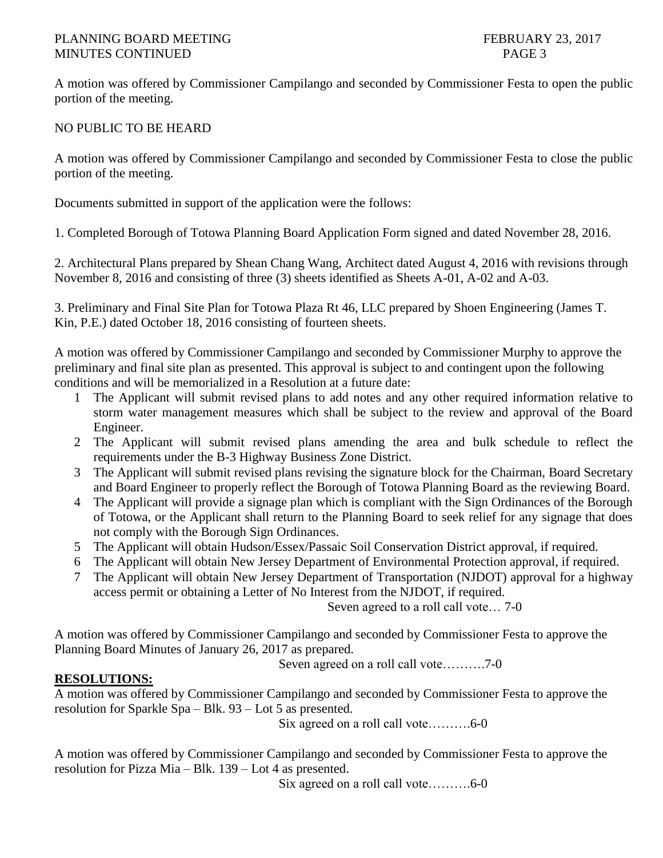# PLANNING BOARD MEETING FEBRUARY 23, 2017 MINUTES CONTINUED PAGE 3

A motion was offered by Commissioner Campilango and seconded by Commissioner Festa to open the public portion of the meeting.

# NO PUBLIC TO BE HEARD

A motion was offered by Commissioner Campilango and seconded by Commissioner Festa to close the public portion of the meeting.

Documents submitted in support of the application were the follows:

1. Completed Borough of Totowa Planning Board Application Form signed and dated November 28, 2016.

2. Architectural Plans prepared by Shean Chang Wang, Architect dated August 4, 2016 with revisions through November 8, 2016 and consisting of three (3) sheets identified as Sheets A-01, A-02 and A-03.

3. Preliminary and Final Site Plan for Totowa Plaza Rt 46, LLC prepared by Shoen Engineering (James T. Kin, P.E.) dated October 18, 2016 consisting of fourteen sheets.

A motion was offered by Commissioner Campilango and seconded by Commissioner Murphy to approve the preliminary and final site plan as presented. This approval is subject to and contingent upon the following conditions and will be memorialized in a Resolution at a future date:

- 1 The Applicant will submit revised plans to add notes and any other required information relative to storm water management measures which shall be subject to the review and approval of the Board Engineer.
- 2 The Applicant will submit revised plans amending the area and bulk schedule to reflect the requirements under the B-3 Highway Business Zone District.
- 3 The Applicant will submit revised plans revising the signature block for the Chairman, Board Secretary and Board Engineer to properly reflect the Borough of Totowa Planning Board as the reviewing Board.
- 4 The Applicant will provide a signage plan which is compliant with the Sign Ordinances of the Borough of Totowa, or the Applicant shall return to the Planning Board to seek relief for any signage that does not comply with the Borough Sign Ordinances.
- 5 The Applicant will obtain Hudson/Essex/Passaic Soil Conservation District approval, if required.
- 6 The Applicant will obtain New Jersey Department of Environmental Protection approval, if required.
- 7 The Applicant will obtain New Jersey Department of Transportation (NJDOT) approval for a highway access permit or obtaining a Letter of No Interest from the NJDOT, if required.

Seven agreed to a roll call vote… 7-0

A motion was offered by Commissioner Campilango and seconded by Commissioner Festa to approve the Planning Board Minutes of January 26, 2017 as prepared.

Seven agreed on a roll call vote……….7-0

# **RESOLUTIONS:**

A motion was offered by Commissioner Campilango and seconded by Commissioner Festa to approve the resolution for Sparkle Spa – Blk. 93 – Lot 5 as presented.

Six agreed on a roll call vote……….6-0

A motion was offered by Commissioner Campilango and seconded by Commissioner Festa to approve the resolution for Pizza Mia – Blk. 139 – Lot 4 as presented.

Six agreed on a roll call vote……….6-0